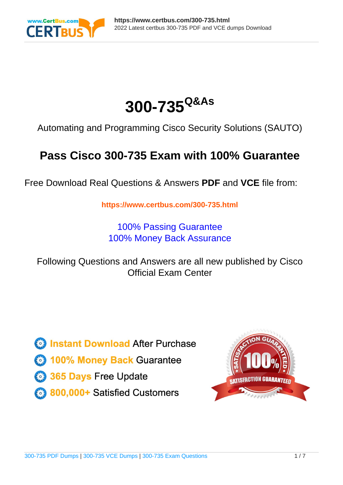

# **300-735Q&As**

Automating and Programming Cisco Security Solutions (SAUTO)

### **Pass Cisco 300-735 Exam with 100% Guarantee**

Free Download Real Questions & Answers **PDF** and **VCE** file from:

**https://www.certbus.com/300-735.html**

100% Passing Guarantee 100% Money Back Assurance

Following Questions and Answers are all new published by Cisco Official Exam Center

**8 Instant Download After Purchase** 

**83 100% Money Back Guarantee** 

- 365 Days Free Update
- 800,000+ Satisfied Customers  $\epsilon$  or

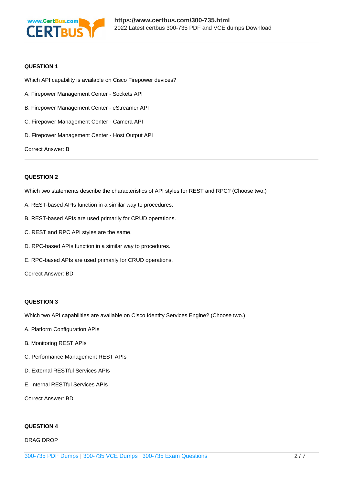

#### **QUESTION 1**

Which API capability is available on Cisco Firepower devices?

- A. Firepower Management Center Sockets API
- B. Firepower Management Center eStreamer API
- C. Firepower Management Center Camera API
- D. Firepower Management Center Host Output API

Correct Answer: B

#### **QUESTION 2**

Which two statements describe the characteristics of API styles for REST and RPC? (Choose two.)

- A. REST-based APIs function in a similar way to procedures.
- B. REST-based APIs are used primarily for CRUD operations.
- C. REST and RPC API styles are the same.
- D. RPC-based APIs function in a similar way to procedures.
- E. RPC-based APIs are used primarily for CRUD operations.

Correct Answer: BD

#### **QUESTION 3**

Which two API capabilities are available on Cisco Identity Services Engine? (Choose two.)

- A. Platform Configuration APIs
- B. Monitoring REST APIs
- C. Performance Management REST APIs
- D. External RESTful Services APIs
- E. Internal RESTful Services APIs

Correct Answer: BD

#### **QUESTION 4**

DRAG DROP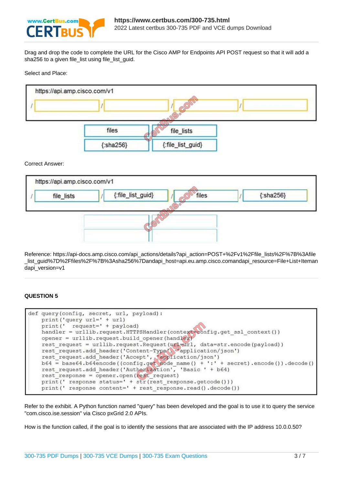

Drag and drop the code to complete the URL for the Cisco AMP for Endpoints API POST request so that it will add a sha256 to a given file\_list using file\_list\_guid.

Select and Place:



Correct Answer:

|            | https://api.amp.cisco.com/v1 |                   |       |                  |
|------------|------------------------------|-------------------|-------|------------------|
| file_lists |                              | {:file_list_guid} | files | ${:}$ sha256 $}$ |
|            |                              |                   |       |                  |
|            |                              |                   |       |                  |
|            |                              |                   |       |                  |

Reference: https://api-docs.amp.cisco.com/api\_actions/details?api\_action=POST+%2Fv1%2Ffile\_lists%2F%7B%3Afile \_list\_guid%7D%2Ffiles%2F%7B%3Asha256%7Dandapi\_host=api.eu.amp.cisco.comandapi\_resource=File+List+Iteman dapi\_version=v1

#### **QUESTION 5**

| def query (config, secret, url, payload):<br>$print('query url=' + url)$                                                                |
|-----------------------------------------------------------------------------------------------------------------------------------------|
| $print(' request=' + payload)$                                                                                                          |
| handler = urllib.request.HTTPSHandler(context-config.get ssl context())<br>opener = urllib.request.build opener(handler)                |
| rest request = urllib.request.Request(url=url, data=str.encode(payload))<br>rest request.add header('Content-Type', 'application/json') |
| rest request.add header('Accept', 'application/json')                                                                                   |
| $b64 = base64.b64encode((config.get node name() + '::' + secret).encode()) . decode()$                                                  |
| rest request.add header('Authorization', 'Basic ' + b64)                                                                                |
| $rest$ response = opener.open( $rest$ request)                                                                                          |
| $print(' response status=' + str(test response.getcode())$                                                                              |
| print (' response content=' + rest response.read().decode())                                                                            |

Refer to the exhibit. A Python function named "query" has been developed and the goal is to use it to query the service "com.cisco.ise.session" via Cisco pxGrid 2.0 APIs.

How is the function called, if the goal is to identify the sessions that are associated with the IP address 10.0.0.50?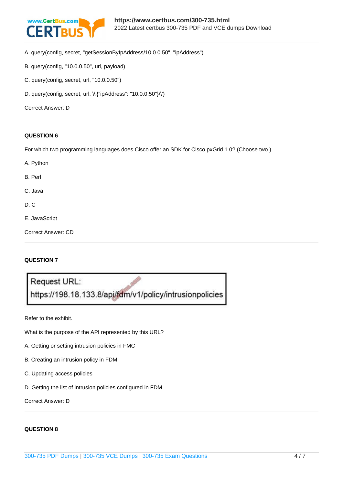

- A. query(config, secret, "getSessionByIpAddress/10.0.0.50", "ipAddress")
- B. query(config, "10.0.0.50", url, payload)
- C. query(config, secret, url, "10.0.0.50")
- D. query(config, secret, url, \\'{"ipAddress": "10.0.0.50"}\\')

Correct Answer: D

#### **QUESTION 6**

For which two programming languages does Cisco offer an SDK for Cisco pxGrid 1.0? (Choose two.)

- A. Python B. Perl
- C. Java
- D. C
- E. JavaScript

Correct Answer: CD

#### **QUESTION 7**

Request URL: https://198.18.133.8/api/fdm/v1/policy/intrusionpolicies

Refer to the exhibit.

What is the purpose of the API represented by this URL?

- A. Getting or setting intrusion policies in FMC
- B. Creating an intrusion policy in FDM
- C. Updating access policies
- D. Getting the list of intrusion policies configured in FDM

Correct Answer: D

#### **QUESTION 8**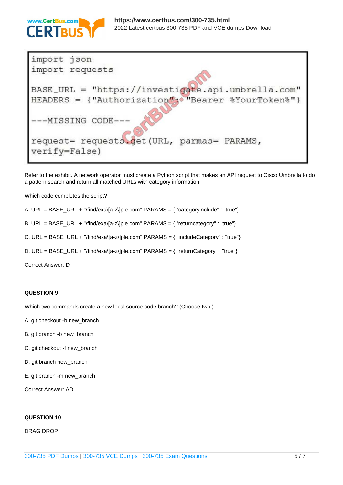

| import json                                                 |
|-------------------------------------------------------------|
| import requests                                             |
| BASE_URL = "https://investigate.api.umbrella.com"           |
| HEADERS = {"Authorization"; "Bearer %YourToken%"}           |
| ---MISSING CODE-                                            |
| request= requests.qet(URL, parmas= PARAMS,<br>verify=False) |

Refer to the exhibit. A network operator must create a Python script that makes an API request to Cisco Umbrella to do a pattern search and return all matched URLs with category information.

Which code completes the script?

A. URL = BASE\_URL + "/find/exa\[a-z\]ple.com" PARAMS = { "categoryinclude" : "true"}

B. URL = BASE\_URL + "/find/exa\[a-z\]ple.com" PARAMS = { "returncategory" : "true"}

C. URL = BASE\_URL + "/find/exa\[a-z\]ple.com" PARAMS = { "includeCategory" : "true"}

D. URL = BASE\_URL + "/find/exa\[a-z\]ple.com" PARAMS = { "returnCategory" : "true"}

Correct Answer: D

#### **QUESTION 9**

Which two commands create a new local source code branch? (Choose two.)

- A. git checkout -b new\_branch
- B. git branch -b new\_branch
- C. git checkout -f new\_branch
- D. git branch new\_branch
- E. git branch -m new\_branch

Correct Answer: AD

#### **QUESTION 10**

DRAG DROP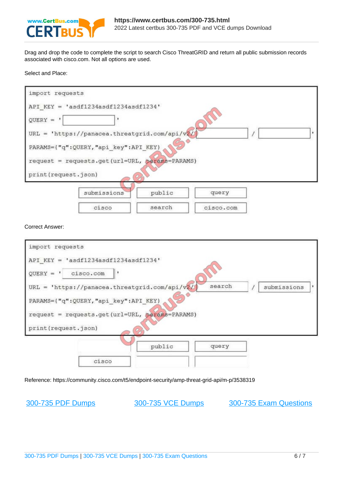

Drag and drop the code to complete the script to search Cisco ThreatGRID and return all public submission records associated with cisco.com. Not all options are used.

Select and Place:

| import requests      |                                                |          |           |  |
|----------------------|------------------------------------------------|----------|-----------|--|
|                      | API KEY = $'$ asdf1234asdf1234asdf1234'        |          |           |  |
| $QUERY = '$          | ٠                                              |          |           |  |
|                      | URL = 'https://panacea.threatgrid.com/api/v2/  |          |           |  |
|                      | PARAMS={"q":QUERY,"api key":API KEY}           |          |           |  |
|                      | request = requests.get(url=URL, params=PARAMS) |          |           |  |
| print (request.json) |                                                | $\sigma$ |           |  |
|                      | submissions                                    | public   | query     |  |
|                      | cisco                                          | search   | cisco.com |  |

Correct Answer:

| import requests<br>API $KEY = 'asdf1234asdf1234asdf1234'$                                                      |        |        |             |
|----------------------------------------------------------------------------------------------------------------|--------|--------|-------------|
| $QUERY = '$<br>cisco.com                                                                                       |        |        |             |
| URL = 'https://panacea.threatgrid.com/api/v2/                                                                  |        | search | submissions |
| PARAMS={"q":QUERY,"api_key":API_KEY}<br>request = requests.get(url=URL, params=PARAMS)<br>print (request.json) |        |        |             |
|                                                                                                                | public | query  |             |
| cisco                                                                                                          |        |        |             |

Reference: https://community.cisco.com/t5/endpoint-security/amp-threat-grid-api/m-p/3538319

[300-735 PDF Dumps](https://www.certbus.com/300-735.html) [300-735 VCE Dumps](https://www.certbus.com/300-735.html) [300-735 Exam Questions](https://www.certbus.com/300-735.html)